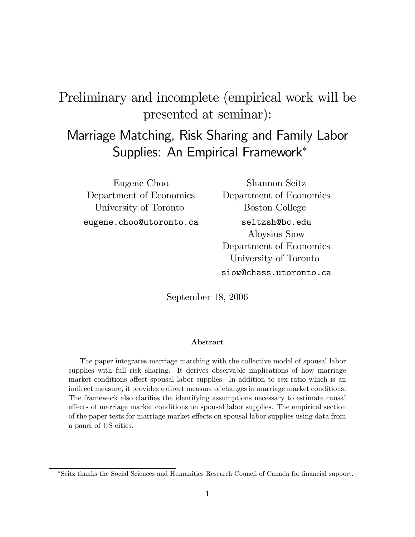# Preliminary and incomplete (empirical work will be presented at seminar):

# Marriage Matching, Risk Sharing and Family Labor Supplies: An Empirical Framework

Eugene Choo Department of Economics University of Toronto eugene.choo@utoronto.ca

Shannon Seitz Department of Economics Boston College seitzsh@bc.edu Aloysius Siow Department of Economics University of Toronto siow@chass.utoronto.ca

September 18, 2006

#### Abstract

The paper integrates marriage matching with the collective model of spousal labor supplies with full risk sharing. It derives observable implications of how marriage market conditions affect spousal labor supplies. In addition to sex ratio which is an indirect measure, it provides a direct measure of changes in marriage market conditions. The framework also clarifies the identifying assumptions necessary to estimate causal effects of marriage market conditions on spousal labor supplies. The empirical section of the paper tests for marriage market effects on spousal labor supplies using data from a panel of US cities.

<sup>\*</sup>Seitz thanks the Social Sciences and Humanities Research Council of Canada for financial support.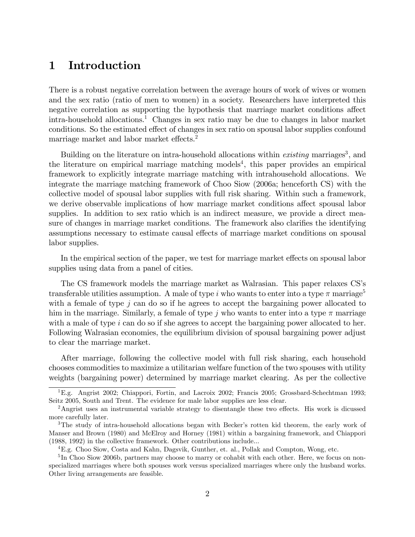## 1 Introduction

There is a robust negative correlation between the average hours of work of wives or women and the sex ratio (ratio of men to women) in a society. Researchers have interpreted this negative correlation as supporting the hypothesis that marriage market conditions affect intra-household allocations.<sup>1</sup> Changes in sex ratio may be due to changes in labor market conditions. So the estimated effect of changes in sex ratio on spousal labor supplies confound marriage market and labor market effects.<sup>2</sup>

Building on the literature on intra-household allocations within *existing* marriages<sup>3</sup>, and the literature on empirical marriage matching models<sup>4</sup>, this paper provides an empirical framework to explicitly integrate marriage matching with intrahousehold allocations. We integrate the marriage matching framework of Choo Siow (2006a; henceforth CS) with the collective model of spousal labor supplies with full risk sharing. Within such a framework, we derive observable implications of how marriage market conditions affect spousal labor supplies. In addition to sex ratio which is an indirect measure, we provide a direct measure of changes in marriage market conditions. The framework also clarifies the identifying assumptions necessary to estimate causal effects of marriage market conditions on spousal labor supplies.

In the empirical section of the paper, we test for marriage market effects on spousal labor supplies using data from a panel of cities.

The CS framework models the marriage market as Walrasian. This paper relaxes CS's transferable utilities assumption. A male of type i who wants to enter into a type  $\pi$  marriage<sup>5</sup> with a female of type  $j$  can do so if he agrees to accept the bargaining power allocated to him in the marriage. Similarly, a female of type j who wants to enter into a type  $\pi$  marriage with a male of type  $i$  can do so if she agrees to accept the bargaining power allocated to her. Following Walrasian economies, the equilibrium division of spousal bargaining power adjust to clear the marriage market.

After marriage, following the collective model with full risk sharing, each household chooses commodities to maximize a utilitarian welfare function of the two spouses with utility weights (bargaining power) determined by marriage market clearing. As per the collective

<sup>1</sup>E.g. Angrist 2002; Chiappori, Fortin, and Lacroix 2002; Francis 2005; Grossbard-Schechtman 1993; Seitz 2005, South and Trent. The evidence for male labor supplies are less clear.

<sup>&</sup>lt;sup>2</sup>Angrist uses an instrumental variable strategy to disentangle these two effects. His work is dicussed more carefully later.

<sup>&</sup>lt;sup>3</sup>The study of intra-household allocations began with Becker's rotten kid theorem, the early work of Manser and Brown (1980) and McElroy and Horney (1981) within a bargaining framework, and Chiappori (1988, 1992) in the collective framework. Other contributions include...

<sup>4</sup>E.g. Choo Siow, Costa and Kahn, Dagsvik, Gunther, et. al., Pollak and Compton, Wong, etc.

<sup>&</sup>lt;sup>5</sup>In Choo Siow 2006b, partners may choose to marry or cohabit with each other. Here, we focus on nonspecialized marriages where both spouses work versus specialized marriages where only the husband works. Other living arrangements are feasible.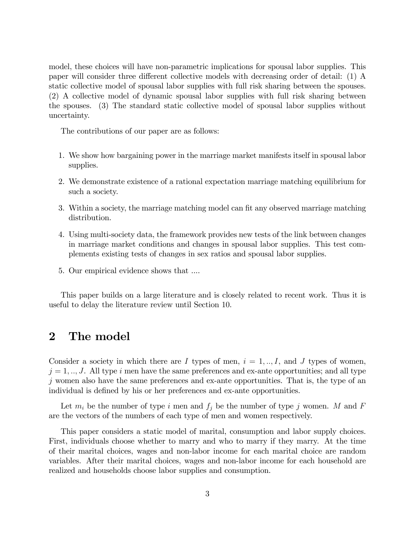model, these choices will have non-parametric implications for spousal labor supplies. This paper will consider three different collective models with decreasing order of detail: (1) A static collective model of spousal labor supplies with full risk sharing between the spouses. (2) A collective model of dynamic spousal labor supplies with full risk sharing between the spouses. (3) The standard static collective model of spousal labor supplies without uncertainty.

The contributions of our paper are as follows:

- 1. We show how bargaining power in the marriage market manifests itself in spousal labor supplies.
- 2. We demonstrate existence of a rational expectation marriage matching equilibrium for such a society.
- 3. Within a society, the marriage matching model can fit any observed marriage matching distribution.
- 4. Using multi-society data, the framework provides new tests of the link between changes in marriage market conditions and changes in spousal labor supplies. This test complements existing tests of changes in sex ratios and spousal labor supplies.
- 5. Our empirical evidence shows that ....

This paper builds on a large literature and is closely related to recent work. Thus it is useful to delay the literature review until Section 10.

### 2 The model

Consider a society in which there are I types of men,  $i = 1, ..., I$ , and J types of women,  $j = 1, \ldots, J$ . All type i men have the same preferences and ex-ante opportunities; and all type j women also have the same preferences and ex-ante opportunities. That is, the type of an individual is defined by his or her preferences and ex-ante opportunities.

Let  $m_i$  be the number of type i men and  $f_j$  be the number of type j women. M and F are the vectors of the numbers of each type of men and women respectively.

This paper considers a static model of marital, consumption and labor supply choices. First, individuals choose whether to marry and who to marry if they marry. At the time of their marital choices, wages and non-labor income for each marital choice are random variables. After their marital choices, wages and non-labor income for each household are realized and households choose labor supplies and consumption.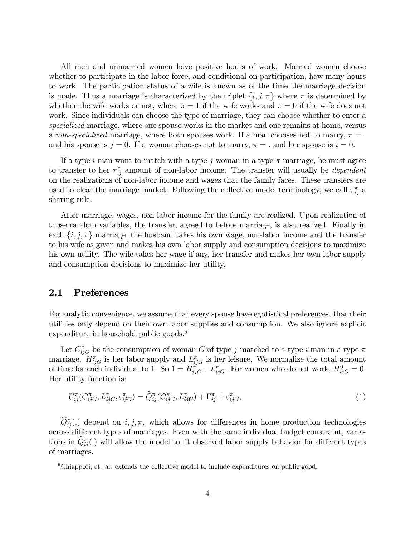All men and unmarried women have positive hours of work. Married women choose whether to participate in the labor force, and conditional on participation, how many hours to work. The participation status of a wife is known as of the time the marriage decision is made. Thus a marriage is characterized by the triplet  $\{i, j, \pi\}$  where  $\pi$  is determined by whether the wife works or not, where  $\pi = 1$  if the wife works and  $\pi = 0$  if the wife does not work. Since individuals can choose the type of marriage, they can choose whether to enter a specialized marriage, where one spouse works in the market and one remains at home, versus a non-specialized marriage, where both spouses work. If a man chooses not to marry,  $\pi =$ . and his spouse is  $j = 0$ . If a woman chooses not to marry,  $\pi =$  and her spouse is  $i = 0$ .

If a type i man want to match with a type j woman in a type  $\pi$  marriage, he must agree to transfer to her  $\tau_{ij}^{\pi}$  amount of non-labor income. The transfer will usually be *dependent* on the realizations of non-labor income and wages that the family faces. These transfers are used to clear the marriage market. Following the collective model terminology, we call  $\tau_{ij}^{\pi}$  a sharing rule.

After marriage, wages, non-labor income for the family are realized. Upon realization of those random variables, the transfer, agreed to before marriage, is also realized. Finally in each  $\{i, j, \pi\}$  marriage, the husband takes his own wage, non-labor income and the transfer to his wife as given and makes his own labor supply and consumption decisions to maximize his own utility. The wife takes her wage if any, her transfer and makes her own labor supply and consumption decisions to maximize her utility.

#### 2.1 Preferences

For analytic convenience, we assume that every spouse have egotistical preferences, that their utilities only depend on their own labor supplies and consumption. We also ignore explicit expenditure in household public goods.<sup>6</sup>

Let  $C_{ijG}^{\pi}$  be the consumption of woman G of type j matched to a type i man in a type  $\pi$ marriage.  $H_{ijG}^{\pi}$  is her labor supply and  $L_{ijG}^{\pi}$  is her leisure. We normalize the total amount of time for each individual to 1. So  $1 = H_{ijG}^{\pi} + L_{ijG}^{\pi}$ . For women who do not work,  $H_{ijG}^{0} = 0$ . Her utility function is:

$$
U_{ij}^{\pi}(C_{ijG}^{\pi}, L_{ijG}^{\pi}, \varepsilon_{ijG}^{\pi}) = \widehat{Q}_{ij}^{\pi}(C_{ijG}^{\pi}, L_{ijG}^{\pi}) + \Gamma_{ij}^{\pi} + \varepsilon_{ijG}^{\pi}, \tag{1}
$$

 $\widehat{Q}_{ij}^{\pi}(.)$  depend on  $i, j, \pi$ , which allows for differences in home production technologies across different types of marriages. Even with the same individual budget constraint, variations in  $\hat{Q}_{ij}^{\pi}(.)$  will allow the model to fit observed labor supply behavior for different types of marriages.

 ${}^{6}$ Chiappori, et. al. extends the collective model to include expenditures on public good.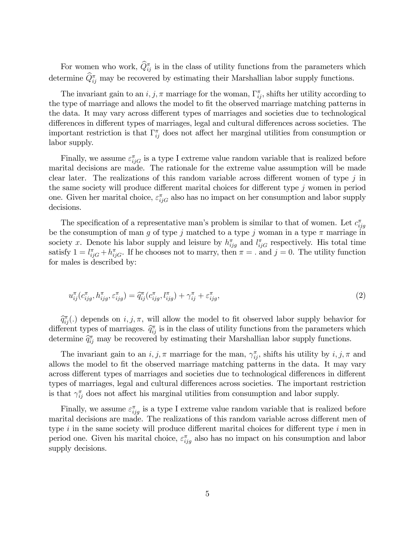For women who work,  $\hat{Q}_{ij}^{\pi}$  is in the class of utility functions from the parameters which determine  $\hat{Q}_{ij}^{\pi}$  may be recovered by estimating their Marshallian labor supply functions.

The invariant gain to an  $i, j, \pi$  marriage for the woman,  $\Gamma_{ij}^{\pi}$ , shifts her utility according to the type of marriage and allows the model to fit the observed marriage matching patterns in the data. It may vary across different types of marriages and societies due to technological differences in different types of marriages, legal and cultural differences across societies. The important restriction is that  $\Gamma_{ij}^{\pi}$  does not affect her marginal utilities from consumption or labor supply.

Finally, we assume  $\varepsilon_{ijG}^{\pi}$  is a type I extreme value random variable that is realized before marital decisions are made. The rationale for the extreme value assumption will be made clear later. The realizations of this random variable across different women of type  $j$  in the same society will produce different marital choices for different type  $j$  women in period one. Given her marital choice,  $\varepsilon_{ijG}^{\pi}$  also has no impact on her consumption and labor supply decisions.

The specification of a representative man's problem is similar to that of women. Let  $c_{ijg}^{\pi}$ be the consumption of man g of type j matched to a type j woman in a type  $\pi$  marriage in society x. Denote his labor supply and leisure by  $h_{ijg}^{\pi}$  and  $l_{ijG}^{\pi}$  respectively. His total time satisfy  $1 = l_{ijG}^{\pi} + h_{ijG}^{\pi}$ . If he chooses not to marry, then  $\pi =$  and  $j = 0$ . The utility function for males is described by:

$$
u_{ij}^{\pi}(c_{ijg}^{\pi}, h_{ijg}^{\pi}, \varepsilon_{ijg}^{\pi}) = \widehat{q}_{ij}^{\pi}(c_{ijg}^{\pi}, l_{ijg}^{\pi}) + \gamma_{ij}^{\pi} + \varepsilon_{ijg}^{\pi}, \tag{2}
$$

 $\widehat{q}_{ij}^{\pi}$ (.) depends on  $i, j, \pi$ , will allow the model to fit observed labor supply behavior for different types of marriages.  $\hat{q}_{ij}^{\pi}$  is in the class of utility functions from the parameters which determines  $\hat{z}^{\pi}$  means be recognosed by active their determines determines in the parameters determine  $\hat{q}_{ij}^{\pi}$  may be recovered by estimating their Marshallian labor supply functions.

The invariant gain to an  $i, j, \pi$  marriage for the man,  $\gamma_{ij}^{\pi}$ , shifts his utility by  $i, j, \pi$  and allows the model to fit the observed marriage matching patterns in the data. It may vary across different types of marriages and societies due to technological differences in different types of marriages, legal and cultural differences across societies. The important restriction is that  $\gamma_{ij}^{\pi}$  does not affect his marginal utilities from consumption and labor supply.

Finally, we assume  $\varepsilon_{ijg}^{\pi}$  is a type I extreme value random variable that is realized before marital decisions are made. The realizations of this random variable across different men of type  $i$  in the same society will produce different marital choices for different type  $i$  men in period one. Given his marital choice,  $\varepsilon_{ijg}^{\pi}$  also has no impact on his consumption and labor supply decisions.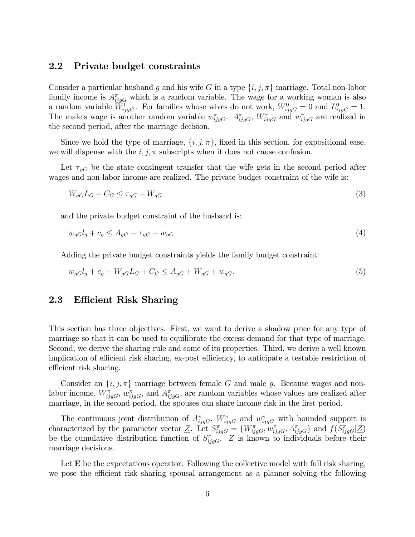#### 2.2 Private budget constraints

Consider a particular husband g and his wife G in a type  $\{i, j, \pi\}$  marriage. Total non-labor family income is  $A_{ijgG}^{\pi}$  which is a random variable. The wage for a working woman is also a random variable  $\tilde{W}_{ijgG}^1$ . For families whose wives do not work,  $W_{ijgG}^0 = 0$  and  $L_{ijgG}^0 = 1$ . The male's wage is another random variable  $w_{ijgG}^{\pi}$ .  $A_{ijgG}^{\pi}$ ,  $W_{ijgG}^{\pi}$  and  $w_{ijgG}^{\pi}$  are realized in the second period, after the marriage decision.

Since we hold the type of marriage,  $\{i, j, \pi\}$ , fixed in this section, for expositional ease, we will dispense with the  $i, j, \pi$  subscripts when it does not cause confusion.

Let  $\tau_{gG}$  be the state contingent transfer that the wife gets in the second period after wages and non-labor income are realized. The private budget constraint of the wife is:

$$
W_{gG}L_G + C_G \le \tau_{gG} + W_{gG} \tag{3}
$$

and the private budget constraint of the husband is:

$$
w_{gG}l_g + c_g \le A_{gG} - \tau_{gG} - w_{gG} \tag{4}
$$

Adding the private budget constraints yields the family budget constraint:

$$
w_{gG}l_g + c_g + W_{gG}L_G + C_G \le A_{gG} + W_{gG} + w_{gG}.
$$
\n(5)

#### 2.3 Efficient Risk Sharing

This section has three objectives. First, we want to derive a shadow price for any type of marriage so that it can be used to equilibrate the excess demand for that type of marriage. Second, we derive the sharing rule and some of its properties. Third, we derive a well known implication of efficient risk sharing, ex-post efficiency, to anticipate a testable restriction of efficient risk sharing.

Consider an  $\{i, j, \pi\}$  marriage between female G and male g. Because wages and nonlabor income,  $W_{ijgG}^{\pi}$ ,  $w_{ijgG}^{\pi}$ , and  $A_{ijgG}^{\pi}$ , are random variables whose values are realized after marriage, in the second period, the spouses can share income risk in the first period.

The continuous joint distribution of  $A_{ijgG}^{\pi}$ ,  $W_{ijgG}^{\pi}$  and  $w_{ijgG}^{\pi}$  with bounded support is characterized by the parameter vector Z. Let  $S^{\pi}_{ijgG} = \{W^{\pi}_{ijgG}, w^{\pi}_{ijgG}, A^{\pi}_{ijgG}\}\$  and  $f(S^{\pi}_{ijgG}|\underline{Z})$ be the cumulative distribution function of  $S^{\pi}_{ijgG}$ .  $Z$  is known to individuals before their marriage decisions.

Let  $E$  be the expectations operator. Following the collective model with full risk sharing, we pose the efficient risk sharing spousal arrangement as a planner solving the following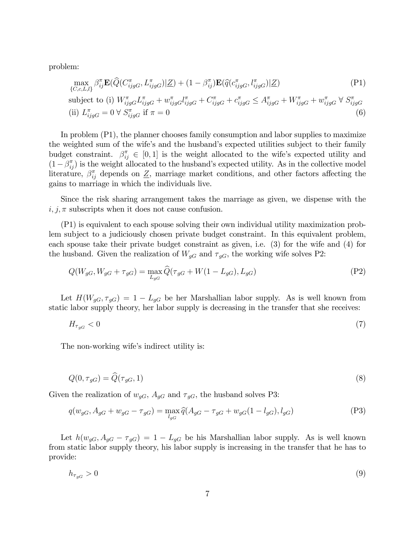problem:

$$
\max_{\{C,c,L,l\}} \beta_{ij}^{\pi} \mathbf{E}(\widehat{Q}(C_{ijgG}^{\pi}, L_{ijgG}^{\pi}) | \underline{Z}) + (1 - \beta_{ij}^{\pi}) \mathbf{E}(\widehat{q}(c_{ijgG}^{\pi}, l_{ijgG}^{\pi}) | \underline{Z})
$$
\n(P1)\n  
\nsubject to (i)  $W^{\pi} \quad I^{\pi} + w^{\pi} \quad I^{\pi} + C^{\pi} + C^{\pi} \quad \leq A^{\pi} \quad + W^{\pi} \quad + w^{\pi} \quad \forall \ S^{\pi}$ 

subject to (i) 
$$
W_{ijgG}^{\pi} L_{ijgG}^{\pi} + w_{ijgG}^{\pi} l_{ijgG}^{\pi} + C_{ijgG}^{\pi} + c_{ijgG}^{\pi} \leq A_{ijgG}^{\pi} + W_{ijgG}^{\pi} + w_{ijgG}^{\pi} \forall S_{ijgG}^{\pi}
$$
  
(ii)  $L_{ijgG}^{\pi} = 0 \forall S_{ijgG}^{\pi}$  if  $\pi = 0$  (6)

In problem (P1), the planner chooses family consumption and labor supplies to maximize the weighted sum of the wife's and the husband's expected utilities subject to their family budget constraint.  $\beta_{ij}^{\pi} \in [0,1]$  is the weight allocated to the wife's expected utility and  $(1 - \beta_{ij}^{\pi})$  is the weight allocated to the husband's expected utility. As in the collective model literature,  $\beta_{ij}^{\pi}$  depends on  $\underline{Z}$ , marriage market conditions, and other factors affecting the gains to marriage in which the individuals live.

Since the risk sharing arrangement takes the marriage as given, we dispense with the  $i, j, \pi$  subscripts when it does not cause confusion.

(P1) is equivalent to each spouse solving their own individual utility maximization problem subject to a judiciously chosen private budget constraint. In this equivalent problem, each spouse take their private budget constraint as given, i.e. (3) for the wife and (4) for the husband. Given the realization of  $W_{gG}$  and  $\tau_{gG}$ , the working wife solves P2:

$$
Q(W_{gG}, W_{gG} + \tau_{gG}) = \max_{L_{gG}} \hat{Q}(\tau_{gG} + W(1 - L_{gG}), L_{gG})
$$
\n(P2)

Let  $H(W_{qG}, \tau_{qG}) = 1 - L_{qG}$  be her Marshallian labor supply. As is well known from static labor supply theory, her labor supply is decreasing in the transfer that she receives:

$$
H_{\tau_{gG}} < 0 \tag{7}
$$

The non-working wife's indirect utility is:

$$
Q(0, \tau_{gG}) = \widehat{Q}(\tau_{gG}, 1) \tag{8}
$$

Given the realization of  $w_{gG}$ ,  $A_{gG}$  and  $\tau_{gG}$ , the husband solves P3:

$$
q(w_{gG}, A_{gG} + w_{gG} - \tau_{gG}) = \max_{l_{gG}} \hat{q}(A_{gG} - \tau_{gG} + w_{gG}(1 - l_{gG}), l_{gG})
$$
(P3)

Let  $h(w_{gG}, A_{gG} - \tau_{gG}) = 1 - L_{gG}$  be his Marshallian labor supply. As is well known from static labor supply theory, his labor supply is increasing in the transfer that he has to provide:

$$
h_{\tau_{gG}} > 0 \tag{9}
$$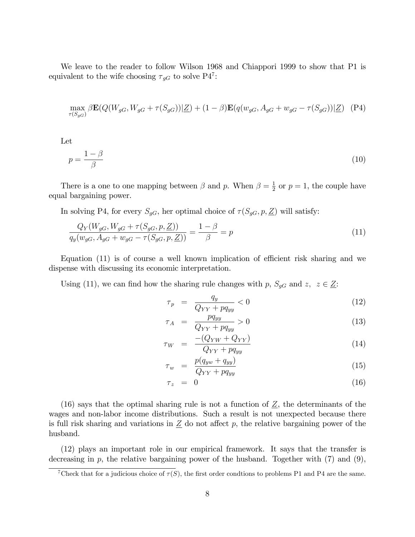We leave to the reader to follow Wilson 1968 and Chiappori 1999 to show that P1 is equivalent to the wife choosing  $\tau_{gG}$  to solve P4<sup>7</sup>:

$$
\max_{\tau(S_{gG})} \beta \mathbf{E}(Q(W_{gG}, W_{gG} + \tau(S_{gG})) | \underline{Z}) + (1 - \beta) \mathbf{E}(q(w_{gG}, A_{gG} + w_{gG} - \tau(S_{gG})) | \underline{Z}) \tag{P4}
$$

Let

$$
p = \frac{1 - \beta}{\beta} \tag{10}
$$

There is a one to one mapping between  $\beta$  and p. When  $\beta = \frac{1}{2}$  $\frac{1}{2}$  or  $p=1$ , the couple have equal bargaining power.

In solving P4, for every  $S_{gG}$ , her optimal choice of  $\tau(S_{gG}, p, \underline{Z})$  will satisfy:

$$
\frac{Q_Y(W_{gG}, W_{gG} + \tau(S_{gG}, p, \underline{Z}))}{q_y(w_{gG}, A_{gG} + w_{gG} - \tau(S_{gG}, p, \underline{Z}))} = \frac{1 - \beta}{\beta} = p \tag{11}
$$

Equation  $(11)$  is of course a well known implication of efficient risk sharing and we dispense with discussing its economic interpretation.

Using (11), we can find how the sharing rule changes with p,  $S_{gG}$  and  $z, z \in \underline{Z}$ :

$$
\tau_p = \frac{q_y}{Q_{YY} + pq_{yy}} < 0 \tag{12}
$$

$$
\tau_A = \frac{pq_{yy}}{Q_{YY} + pq_{yy}} > 0 \tag{13}
$$

$$
\tau_W = \frac{-(Q_{YW} + Q_{YY})}{Q_{YY} + pq_{yy}} \tag{14}
$$

$$
\tau_w = \frac{p(q_{yw} + q_{yy})}{Q_{YY} + pq_{yy}} \tag{15}
$$

$$
\tau_z = 0 \tag{16}
$$

(16) says that the optimal sharing rule is not a function of  $Z$ , the determinants of the wages and non-labor income distributions. Such a result is not unexpected because there is full risk sharing and variations in  $Z$  do not affect p, the relative bargaining power of the husband.

(12) plays an important role in our empirical framework. It says that the transfer is decreasing in  $p$ , the relative bargaining power of the husband. Together with  $(7)$  and  $(9)$ ,

<sup>&</sup>lt;sup>7</sup>Check that for a judicious choice of  $\tau(S)$ , the first order condtions to problems P1 and P4 are the same.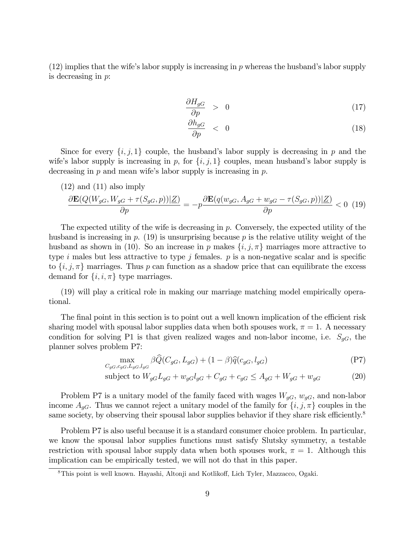$(12)$  implies that the wife's labor supply is increasing in p whereas the husband's labor supply is decreasing in p:

$$
\frac{\partial H_{gG}}{\partial p} > 0 \tag{17}
$$

$$
\frac{\partial h_{gG}}{\partial p} \quad < \quad 0 \tag{18}
$$

Since for every  $\{i, j, 1\}$  couple, the husband's labor supply is decreasing in p and the wife's labor supply is increasing in p, for  $\{i, j, 1\}$  couples, mean husband's labor supply is decreasing in  $p$  and mean wife's labor supply is increasing in  $p$ .

(12) and (11) also imply\n
$$
\frac{\partial \mathbf{E}(Q(W_{gG}, W_{gG} + \tau(S_{gG}, p))|\underline{Z})}{\partial p} = -p \frac{\partial \mathbf{E}(q(w_{gG}, A_{gG} + w_{gG} - \tau(S_{gG}, p))|\underline{Z})}{\partial p} < 0 \tag{19}
$$

The expected utility of the wife is decreasing in  $p$ . Conversely, the expected utility of the husband is increasing in p.  $(19)$  is unsurprising because p is the relative utility weight of the husband as shown in (10). So an increase in p makes  $\{i, j, \pi\}$  marriages more attractive to type i males but less attractive to type j females.  $p$  is a non-negative scalar and is specific to  $\{i, j, \pi\}$  marriages. Thus p can function as a shadow price that can equilibrate the excess demand for  $\{i, i, \pi\}$  type marriages.

(19) will play a critical role in making our marriage matching model empirically operational.

The final point in this section is to point out a well known implication of the efficient risk sharing model with spousal labor supplies data when both spouses work,  $\pi = 1$ . A necessary condition for solving P1 is that given realized wages and non-labor income, i.e.  $S_{qG}$ , the planner solves problem P7:

$$
\max_{C_{gG}, c_{gG}, L_{gG}, l_{gG}} \beta \widehat{Q}(C_{gG}, L_{gG}) + (1 - \beta)\widehat{q}(c_{gG}, l_{gG})
$$
\n<sup>(P7)</sup>

subject to 
$$
W_{gG}L_{gG} + w_{gG}l_{gG} + C_{gG} + c_{gG} \leq A_{gG} + W_{gG} + w_{gG}
$$
 (20)

Problem P7 is a unitary model of the family faced with wages  $W_{gG}$ ,  $w_{gG}$ , and non-labor income  $A_{gG}$ . Thus we cannot reject a unitary model of the family for  $\{i, j, \pi\}$  couples in the same society, by observing their spousal labor supplies behavior if they share risk efficiently.<sup>8</sup>

Problem P7 is also useful because it is a standard consumer choice problem. In particular, we know the spousal labor supplies functions must satisfy Slutsky symmetry, a testable restriction with spousal labor supply data when both spouses work,  $\pi = 1$ . Although this implication can be empirically tested, we will not do that in this paper.

<sup>&</sup>lt;sup>8</sup>This point is well known. Hayashi, Altonji and Kotlikoff, Lich Tyler, Mazzacco, Ogaki.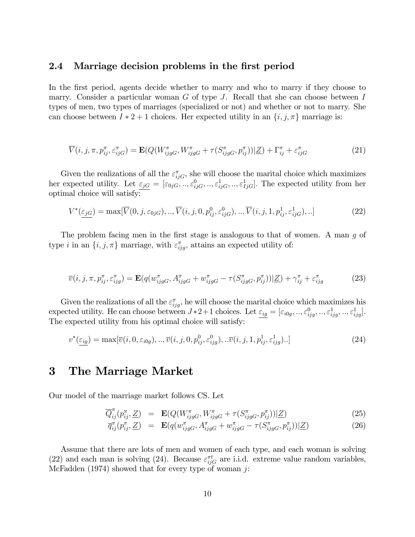#### 2.4 Marriage decision problems in the first period

In the first period, agents decide whether to marry and who to marry if they choose to marry. Consider a particular woman  $G$  of type  $J$ . Recall that she can choose between  $I$ types of men, two types of marriages (specialized or not) and whether or not to marry. She can choose between  $I * 2 + 1$  choices. Her expected utility in an  $\{i, j, \pi\}$  marriage is:

$$
\overline{V}(i,j,\pi,p_{ij}^{\pi},\varepsilon_{ijG}^{\pi}) = \mathbf{E}(Q(W_{ijgG}^{\pi},W_{ijgG}^{\pi} + \tau(S_{ijgG}^{\pi},p_{ij}^{\pi}))|\underline{Z}) + \Gamma_{ij}^{\pi} + \varepsilon_{ijG}^{\pi}
$$
\n(21)

Given the realizations of all the  $\varepsilon_{ijG}^{\pi}$ , she will choose the marital choice which maximizes her expected utility. Let  $\varepsilon_{jG} = [\varepsilon_{0jG},..,\varepsilon_{ijG}^0,..,\varepsilon_{ijG}^1,..,\varepsilon_{IjG}^1]$ . The expected utility from her optimal choice will satisfy:

$$
V^*(\underline{\varepsilon_{jG}}) = \max[\overline{V}(0,j,\varepsilon_{0jG}),\dots,\overline{V}(i,j,0,p_{ij}^0,\varepsilon_{ijG}^0),\dots,\overline{V}(i,j,1,p_{ij}^1,\varepsilon_{ijG}^1),\dots]
$$
(22)

The problem facing men in the first stage is analogous to that of women. A man  $g$  of type *i* in an  $\{i, j, \pi\}$  marriage, with  $\varepsilon_{ijg}^{\pi}$ , attains an expected utility of:

$$
\overline{v}(i, j, \pi, p_{ij}^{\pi}, \varepsilon_{ijg}^{\pi}) = \mathbf{E}(q(w_{ijgG}^{\pi}, A_{ijgG}^{\pi} + w_{ijgG}^{\pi} - \tau(S_{ijgG}^{\pi}, p_{ij}^{\pi}))|\underline{Z}) + \gamma_{ij}^{\pi} + \varepsilon_{ijg}^{\pi}
$$
(23)

Given the realizations of all the  $\varepsilon_{ijg}^{\pi}$ , he will choose the marital choice which maximizes his expected utility. He can choose between  $J \ast 2+1$  choices. Let  $\underline{\varepsilon_{ig}} = [\varepsilon_{i0g},..,\varepsilon_{ifg}^0,..,\varepsilon_{ijg}^1,..,\varepsilon_{ijg}^1]$ . The expected utility from his optimal choice will satisfy:

$$
v^*(\underline{\varepsilon_{ig}}) = \max[\overline{v}(i, 0, \varepsilon_{i0g}), \dots, \overline{v}(i, j, 0, p^0_{ij}, \varepsilon^0_{ijg}), \dots, \overline{v}(i, j, 1, p^1_{ij}, \varepsilon^1_{ijg}).]
$$
\n(24)

### 3 The Marriage Market

Our model of the marriage market follows CS. Let

$$
\overline{Q}_{ij}^{\pi}(p_{ij}^{\pi}, \underline{Z}) = \mathbf{E}(Q(W_{ijgG}^{\pi}, W_{ijgG}^{\pi} + \tau(S_{ijgG}^{\pi}, p_{ij}^{\pi}))|\underline{Z}) \tag{25}
$$

$$
\overline{q}_{ij}^{\pi}(p_{ij}^{\pi}, \underline{Z}) = \mathbf{E}(q(w_{ijgG}^{\pi}, A_{ijgG}^{\pi} + w_{ijgG}^{\pi} - \tau(S_{ijgG}^{\pi}, p_{ij}^{\pi}))|\underline{Z})
$$
\n(26)

Assume that there are lots of men and women of each type, and each woman is solving (22) and each man is solving (24). Because  $\varepsilon_{ijG}^{\pi t}$  are i.i.d. extreme value random variables, McFadden (1974) showed that for every type of woman  $j$ :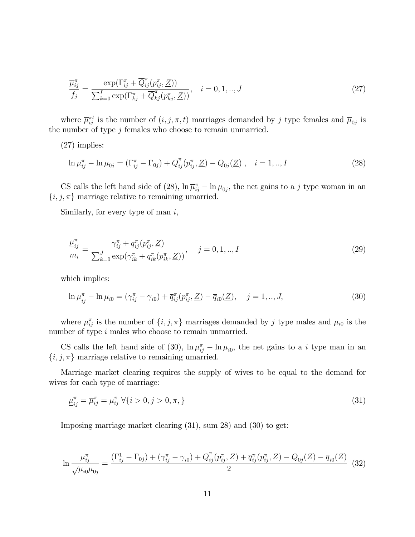$$
\frac{\overline{\mu}_{ij}^{\pi}}{f_j} = \frac{\exp(\Gamma_{ij}^{\pi} + \overline{Q}_{ij}^{\pi}(p_{ij}^{\pi}, \underline{Z}))}{\sum_{k=0}^{I} \exp(\Gamma_{kj}^{\pi} + \overline{Q}_{kj}^{\pi}(p_{kj}^{\pi}, \underline{Z}))}, \quad i = 0, 1, ..., J
$$
\n(27)

where  $\overline{\mu}_{ij}^{\pi t}$  is the number of  $(i, j, \pi, t)$  marriages demanded by j type females and  $\overline{\mu}_{0j}$  is the number of type  $j$  females who choose to remain unmarried.

(27) implies:

$$
\ln \overline{\mu}_{ij}^{\pi} - \ln \mu_{0j} = (\Gamma_{ij}^{\pi} - \Gamma_{0j}) + \overline{Q}_{ij}^{\pi} (p_{ij}^{\pi}, \underline{Z}) - \overline{Q}_{0j} (\underline{Z}), \quad i = 1,..,I
$$
\n(28)

CS calls the left hand side of (28),  $\ln \overline{\mu}_{ij}^{\pi} - \ln \mu_{0j}$ , the net gains to a j type woman in an  $\{i, j, \pi\}$  marriage relative to remaining umarried.

Similarly, for every type of man  $i$ ,

$$
\frac{\mu_{ij}^{\pi}}{m_i} = \frac{\gamma_{ij}^{\pi} + \overline{q}_{ij}^{\pi}(p_{ij}^{\pi}, \underline{Z})}{\sum_{k=0}^{J} \exp(\gamma_{ik}^{\pi} + \overline{q}_{ik}^{\pi}(p_{ik}^{\pi}, \underline{Z}))}, \quad j = 0, 1, ..., I
$$
\n(29)

which implies:

$$
\ln \underline{\mu}_{ij}^{\pi} - \ln \mu_{i0} = (\gamma_{ij}^{\pi} - \gamma_{i0}) + \overline{q}_{ij}^{\pi} (p_{ij}^{\pi}, \underline{Z}) - \overline{q}_{i0} (\underline{Z}), \quad j = 1, ..., J,
$$
\n(30)

where  $\underline{\mu}_{ij}^{\pi}$  is the number of  $\{i, j, \pi\}$  marriages demanded by j type males and  $\underline{\mu}_{i0}$  is the number of type i males who choose to remain unmarried.

CS calls the left hand side of (30),  $\ln \overline{\mu}_{ij}^{\pi} - \ln \mu_{i0}$ , the net gains to a *i* type man in an  $\{i, j, \pi\}$  marriage relative to remaining umarried.

Marriage market clearing requires the supply of wives to be equal to the demand for wives for each type of marriage:

$$
\underline{\mu}_{ij}^{\pi} = \overline{\mu}_{ij}^{\pi} = \mu_{ij}^{\pi} \ \forall \{i > 0, j > 0, \pi, \} \tag{31}
$$

Imposing marriage market clearing (31), sum 28) and (30) to get:

$$
\ln \frac{\mu_{ij}^{\pi}}{\sqrt{\mu_{i0}\mu_{0j}}} = \frac{(\Gamma_{ij}^1 - \Gamma_{0j}) + (\gamma_{ij}^{\pi} - \gamma_{i0}) + \overline{Q}_{ij}^{\pi}(p_{ij}^{\pi}, \underline{Z}) + \overline{q}_{ij}^{\pi}(p_{ij}^{\pi}, \underline{Z}) - \overline{Q}_{0j}(\underline{Z}) - \overline{q}_{i0}(\underline{Z})}{2}
$$
(32)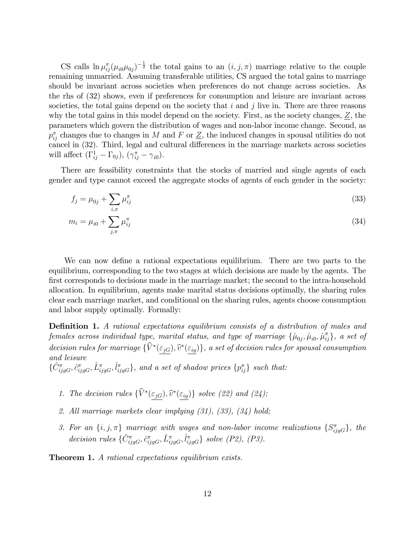CS calls  $\ln \mu_{ij}^{\pi}(\mu_{i0}\mu_{0j})^{-\frac{1}{2}}$  the total gains to an  $(i, j, \pi)$  marriage relative to the couple remaining unmarried. Assuming transferable utilities, CS argued the total gains to marriage should be invariant across societies when preferences do not change across societies. As the rhs of (32) shows, even if preferences for consumption and leisure are invariant across societies, the total gains depend on the society that  $i$  and  $j$  live in. There are three reasons why the total gains in this model depend on the society. First, as the society changes,  $Z$ , the parameters which govern the distribution of wages and non-labor income change. Second, as  $p_{ij}^{\pi}$  changes due to changes in M and F or  $\underline{Z}$ , the induced changes in spousal utilities do not cancel in  $(32)$ . Third, legal and cultural differences in the marriage markets across societies will affect  $(\Gamma_{ij}^1 - \Gamma_{0j}), (\gamma_{ij}^{\pi} - \gamma_{i0}).$ 

There are feasibility constraints that the stocks of married and single agents of each gender and type cannot exceed the aggregate stocks of agents of each gender in the society:

$$
f_j = \mu_{0j} + \sum_{i,\pi} \mu_{ij}^{\pi} \tag{33}
$$

$$
m_i = \mu_{i0} + \sum_{j,\pi} \mu_{ij}^{\pi} \tag{34}
$$

We can now define a rational expectations equilibrium. There are two parts to the equilibrium, corresponding to the two stages at which decisions are made by the agents. The first corresponds to decisions made in the marriage market; the second to the intra-household allocation. In equilibrium, agents make marital status decisions optimally, the sharing rules clear each marriage market, and conditional on the sharing rules, agents choose consumption and labor supply optimally. Formally:

**Definition 1.** A rational expectations equilibrium consists of a distribution of males and females across individual type, marital status, and type of marriage  $\{\hat{\mu}_{0j}, \hat{\mu}_{i0}, \hat{\mu}_{ij}^{\pi}\}$ , a set of decision rules for marriage  $\{V^*(\underline{\varepsilon}_{jG}), \widehat{v}^*(\underline{\varepsilon}_{ig})\}$ , a set of decision rules for spousal consumption and leisure  $\{\hat{C}^{\pi}_{ijgG}, \hat{c}^{\pi}_{ijgG}, \hat{L}^{\pi}_{ijgG}\},$  and a set of shadow prices  $\{p^{\pi}_{ij}\}$  such that:

- 1. The decision rules  $\{V^*(\underline{\varepsilon_{jG}}), \widehat{v}^*(\underline{\varepsilon_{ig}})\}$  solve (22) and (24);
- 2. All marriage markets clear implying (31), (33), (34) hold;
- 3. For an  $\{i, j, \pi\}$  marriage with wages and non-labor income realizations  $\{S_{ijgG}^{\pi}\}\$ , the decision rules  $\{\hat{C}^{\pi}_{ijgG}, \hat{c}^{\pi}_{ijgG}, \hat{L}^{\pi}_{ijgG}, \hat{l}^{\pi}_{ijgG}\}\$  solve (P2), (P3).

Theorem 1. A rational expectations equilibrium exists.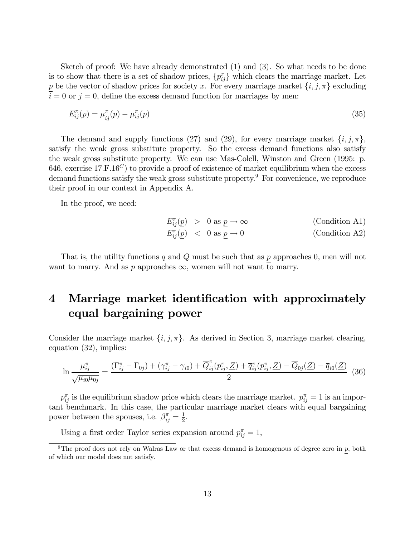Sketch of proof: We have already demonstrated (1) and (3). So what needs to be done is to show that there is a set of shadow prices,  $\{p_{ij}^{\pi}\}\$  which clears the marriage market. Let p be the vector of shadow prices for society x. For every marriage market  $\{i, j, \pi\}$  excluding  $i = 0$  or  $j = 0$ , define the excess demand function for marriages by men:

$$
E_{ij}^{\pi}(\underline{p}) = \underline{\mu}_{ij}^{\pi}(\underline{p}) - \overline{\mu}_{ij}^{\pi}(\underline{p})
$$
\n(35)

The demand and supply functions (27) and (29), for every marriage market  $\{i, j, \pi\}$ , satisfy the weak gross substitute property. So the excess demand functions also satisfy the weak gross substitute property. We can use Mas-Colell, Winston and Green (1995: p. 646, exercise 17.F.16<sup>C</sup>) to provide a proof of existence of market equilibrium when the excess demand functions satisfy the weak gross substitute property.<sup>9</sup> For convenience, we reproduce their proof in our context in Appendix A.

In the proof, we need:

$$
E_{ij}^{\pi}(\underline{p}) > 0 \text{ as } \underline{p} \to \infty \qquad \text{(Condition A1)}
$$
  

$$
E_{ij}^{\pi}(\underline{p}) < 0 \text{ as } \underline{p} \to 0 \qquad \text{(Condition A2)}
$$

That is, the utility functions  $q$  and  $Q$  must be such that as  $p$  approaches 0, men will not want to marry. And as  $p$  approaches  $\infty$ , women will not want to marry.

## 4 Marriage market identification with approximately equal bargaining power

Consider the marriage market  $\{i, j, \pi\}$ . As derived in Section 3, marriage market clearing, equation (32), implies:

$$
\ln \frac{\mu_{ij}^{\pi}}{\sqrt{\mu_{i0}\mu_{0j}}} = \frac{\left(\Gamma_{ij}^{\pi} - \Gamma_{0j}\right) + \left(\gamma_{ij}^{\pi} - \gamma_{i0}\right) + \overline{Q}_{ij}^{\pi}\left(p_{ij}^{\pi}, \underline{Z}\right) + \overline{q}_{ij}^{\pi}\left(p_{ij}^{\pi}, \underline{Z}\right) - \overline{Q}_{0j}(\underline{Z}) - \overline{q}_{i0}(\underline{Z})}{2} \tag{36}
$$

 $p_{ij}^{\pi}$  is the equilibrium shadow price which clears the marriage market.  $p_{ij}^{\pi} = 1$  is an important benchmark. In this case, the particular marriage market clears with equal bargaining power between the spouses, i.e.  $\beta_{ij}^{\pi} = \frac{1}{2}$  $\frac{1}{2}$ .

Using a first order Taylor series expansion around  $p_{ij}^{\pi} = 1$ ,

<sup>&</sup>lt;sup>9</sup>The proof does not rely on Walras Law or that excess demand is homogenous of degree zero in  $\bar{p}$ , both of which our model does not satisfy.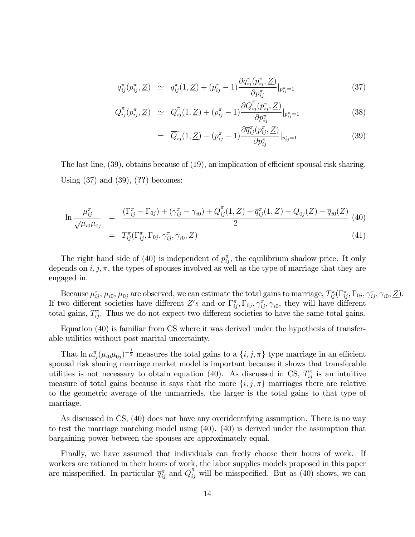$$
\overline{q}_{ij}^{\pi}(p_{ij}^{\pi}, \underline{Z}) \simeq \overline{q}_{ij}^{\pi}(1, \underline{Z}) + (p_{ij}^{\pi} - 1) \frac{\partial \overline{q}_{ij}^{\pi}(p_{ij}^{\pi}, \underline{Z})}{\partial p_{ij}^{\pi}}|_{p_{ij}^{\pi} = 1}
$$
\n(37)

$$
\overline{Q}_{ij}^{\pi}(p_{ij}^{\pi}, \underline{Z}) \simeq \overline{Q}_{ij}^{\pi}(1, \underline{Z}) + (p_{ij}^{\pi} - 1) \frac{\partial \overline{Q}_{ij}^{\pi}(p_{ij}^{\pi}, \underline{Z})}{\partial p_{ij}^{\pi}}|_{p_{ij}^{\pi} = 1}
$$
(38)

$$
= \overline{Q}_{ij}^{\pi}(1,\underline{Z}) - (p_{ij}^{\pi} - 1) \frac{\partial \overline{q}_{ij}^{\pi}(p_{ij}^{\pi},\underline{Z})}{\partial p_{ij}^{\pi}}|_{p_{ij}^{\pi}=1}
$$
(39)

The last line,  $(39)$ , obtains because of  $(19)$ , an implication of efficient spousal risk sharing. Using  $(37)$  and  $(39)$ ,  $(?)$  becomes:

$$
\ln \frac{\mu_{ij}^{\pi}}{\sqrt{\mu_{i0}\mu_{0j}}} = \frac{(\Gamma_{ij}^{\pi} - \Gamma_{0j}) + (\gamma_{ij}^{\pi} - \gamma_{i0}) + \overline{Q}_{ij}^{\pi}(1, \underline{Z}) + \overline{q}_{ij}^{\pi}(1, \underline{Z}) - \overline{Q}_{0j}(\underline{Z}) - \overline{q}_{i0}(\underline{Z})}{2} (40)
$$
  

$$
= T_{ij}^{\pi}(\Gamma_{ij}^{\pi}, \Gamma_{0j}, \gamma_{ij}^{\pi}, \gamma_{i0}, \underline{Z})
$$
 (41)

The right hand side of (40) is independent of  $p_{ij}^{\pi}$ , the equilibrium shadow price. It only depends on  $i, j, \pi$ , the types of spouses involved as well as the type of marriage that they are engaged in.

Because  $\mu_{ij}^{\pi}, \mu_{i0}, \mu_{0j}$  are observed, we can estimate the total gains to marriage,  $T_{ij}^{\pi}(\Gamma_{ij}^{\pi}, \Gamma_{0j}, \gamma_{ij}^{\pi}, \gamma_{i0}, \underline{Z})$ . If two different societies have different  $Z's$  and or  $\Gamma_{ij}^{\pi}, \Gamma_{0j}, \gamma_{ij}^{\pi}, \gamma_{i0}$ , they will have different total gains,  $T_{ij}^{\pi}$ . Thus we do not expect two different societies to have the same total gains.

Equation (40) is familiar from CS where it was derived under the hypothesis of transferable utilities without post marital uncertainty.

That  $\ln \mu_{ij}^{\pi}(\mu_{i0}\mu_{0j})^{-\frac{1}{2}}$  measures the total gains to a  $\{i, j, \pi\}$  type marriage in an efficient spousal risk sharing marriage market model is important because it shows that transferable utilities is not necessary to obtain equation (40). As discussed in CS,  $T_{ij}^{\pi}$  is an intuitive measure of total gains because it says that the more  $\{i, j, \pi\}$  marriages there are relative to the geometric average of the unmarrieds, the larger is the total gains to that type of marriage.

As discussed in CS, (40) does not have any overidentifying assumption. There is no way to test the marriage matching model using (40). (40) is derived under the assumption that bargaining power between the spouses are approximately equal.

Finally, we have assumed that individuals can freely choose their hours of work. If workers are rationed in their hours of work, the labor supplies models proposed in this paper are misspecified. In particular  $\overline{q}_{ij}^{\pi}$  and  $\overline{Q}_{ij}^{\pi'}$  will be misspecified. But as (40) shows, we can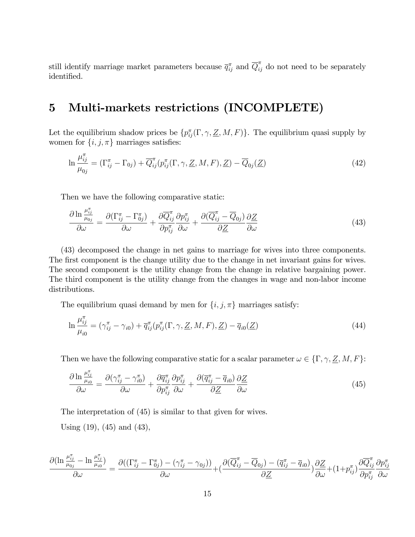still identify marriage market parameters because  $\overline{q}_{ij}^{\pi}$  and  $\overline{Q}_{ij}^{\pi}$  do not need to be separately identified.

### 5 Multi-markets restrictions (INCOMPLETE)

Let the equilibrium shadow prices be  $\{p_{ij}^{\pi}(\Gamma,\gamma,\underline{Z},M,F)\}\$ . The equilibrium quasi supply by women for  $\{i, j, \pi\}$  marriages satisfies:

$$
\ln \frac{\mu_{ij}^{\pi}}{\mu_{0j}} = (\Gamma_{ij}^{\pi} - \Gamma_{0j}) + \overline{Q}_{ij}^{\pi} (p_{ij}^{\pi} (\Gamma, \gamma, \underline{Z}, M, F), \underline{Z}) - \overline{Q}_{0j} (\underline{Z})
$$
\n(42)

Then we have the following comparative static:

$$
\frac{\partial \ln \frac{\mu_{ij}^{\pi}}{\mu_{0j}}}{\partial \omega} = \frac{\partial (\Gamma_{ij}^{\pi} - \Gamma_{0j}^{\pi})}{\partial \omega} + \frac{\partial \overline{Q}_{ij}^{\pi}}{\partial p_{ij}^{\pi}} \frac{\partial p_{ij}^{\pi}}{\partial \omega} + \frac{\partial (\overline{Q}_{ij}^{\pi} - \overline{Q}_{0j})}{\partial \underline{Z}} \frac{\partial \underline{Z}}{\partial \omega}
$$
(43)

(43) decomposed the change in net gains to marriage for wives into three components. The first component is the change utility due to the change in net invariant gains for wives. The second component is the utility change from the change in relative bargaining power. The third component is the utility change from the changes in wage and non-labor income distributions.

The equilibrium quasi demand by men for  $\{i, j, \pi\}$  marriages satisfy:

$$
\ln \frac{\mu_{ij}^{\pi}}{\mu_{i0}} = (\gamma_{ij}^{\pi} - \gamma_{i0}) + \overline{q}_{ij}^{\pi} (p_{ij}^{\pi} (\Gamma, \gamma, \underline{Z}, M, F), \underline{Z}) - \overline{q}_{i0} (\underline{Z})
$$
\n(44)

Then we have the following comparative static for a scalar parameter  $\omega \in \{\Gamma, \gamma, \underline{Z}, M, F\}$ :

$$
\frac{\partial \ln \frac{\mu_{ij}^{\pi}}{\mu_{i0}}}{\partial \omega} = \frac{\partial (\gamma_{ij}^{\pi} - \gamma_{i0}^{\pi})}{\partial \omega} + \frac{\partial \overline{q}_{ij}^{\pi}}{\partial p_{ij}^{\pi}} \frac{\partial p_{ij}^{\pi}}{\partial \omega} + \frac{\partial (\overline{q}_{ij}^{\pi} - \overline{q}_{i0})}{\partial \underline{Z}} \frac{\partial \underline{Z}}{\partial \omega}
$$
(45)

The interpretation of (45) is similar to that given for wives.

Using  $(19)$ ,  $(45)$  and  $(43)$ ,

$$
\frac{\partial(\ln\frac{\mu_{ij}^\pi}{\mu_{0j}}-\ln\frac{\mu_{ij}^\pi}{\mu_{i0}})}{\partial\omega}=\frac{\partial((\Gamma_{ij}^\pi-\Gamma_{0j}^\pi)-(\gamma_{ij}^\pi-\gamma_{0j}))}{\partial\omega}+(\frac{\partial(\overline{Q}_{ij}^\pi-\overline{Q}_{0j})-(\overline{q}_{ij}^\pi-\overline{q}_{i0})}{\partial\underline{Z}})\frac{\partial\underline{Z}}{\partial\omega}+(1+p_{ij}^\pi)\frac{\partial\overline{Q}_{ij}^\pi}{\partial p_{ij}^\pi}\frac{\partial p_{ij}^\pi}{\partial\omega}
$$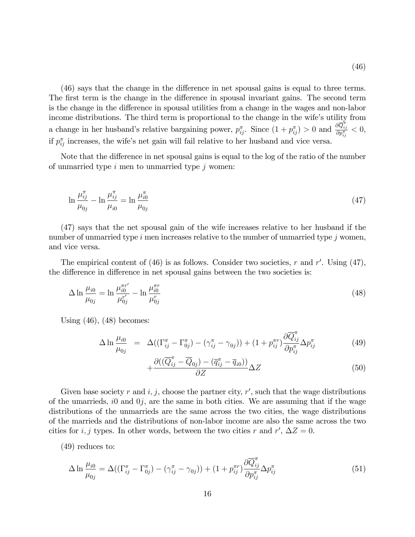$(46)$  says that the change in the difference in net spousal gains is equal to three terms. The first term is the change in the difference in spousal invariant gains. The second term is the change in the difference in spousal utilities from a change in the wages and non-labor income distributions. The third term is proportional to the change in the wife's utility from a change in her husband's relative bargaining power,  $p_{ij}^{\pi}$ . Since  $(1 + p_{ij}^{\pi}) > 0$  and  $\frac{\partial \overline{Q}_{ij}^{\pi}}{\partial p_{ij}^{\pi}} < 0$ , if  $p_{ij}^{\pi}$  increases, the wife's net gain will fail relative to her husband and vice versa.

Note that the difference in net spousal gains is equal to the log of the ratio of the number of unmarried type  $i$  men to unmarried type  $j$  women:

$$
\ln \frac{\mu_{ij}^{\pi}}{\mu_{0j}} - \ln \frac{\mu_{ij}^{\pi}}{\mu_{i0}} = \ln \frac{\mu_{i0}^{\pi}}{\mu_{0j}}
$$
\n(47)

(47) says that the net spousal gain of the wife increases relative to her husband if the number of unmarried type  $i$  men increases relative to the number of unmarried type  $j$  women, and vice versa.

The empirical content of  $(46)$  is as follows. Consider two societies, r and r'. Using  $(47)$ , the difference in difference in net spousal gains between the two societies is:

$$
\Delta \ln \frac{\mu_{i0}}{\mu_{0j}} = \ln \frac{\mu_{i0}^{\pi r'}}{\mu_{0j}^{r'}} - \ln \frac{\mu_{i0}^{\pi r}}{\mu_{0j}^{r}}
$$
\n(48)

Using  $(46)$ ,  $(48)$  becomes:

$$
\Delta \ln \frac{\mu_{i0}}{\mu_{0j}} = \Delta ((\Gamma_{ij}^{\pi} - \Gamma_{0j}^{\pi}) - (\gamma_{ij}^{\pi} - \gamma_{0j})) + (1 + p_{ij}^{\pi r}) \frac{\partial \overline{Q}_{ij}^{\pi}}{\partial p_{ij}^{\pi}} \Delta p_{ij}^{\pi}
$$
(49)

$$
+\frac{\partial((\overline{Q}_{ij}^{\pi}-\overline{Q}_{0j})-(\overline{q}_{ij}^{\pi}-\overline{q}_{i0}))}{\partial Z}\Delta Z
$$
\n(50)

Given base society r and  $i, j$ , choose the partner city, r', such that the wage distributions of the umarrieds,  $i0$  and  $0j$ , are the same in both cities. We are assuming that if the wage distributions of the unmarrieds are the same across the two cities, the wage distributions of the marrieds and the distributions of non-labor income are also the same across the two cities for *i*, *j* types. In other words, between the two cities *r* and  $r'$ ,  $\Delta Z = 0$ .

(49) reduces to:

$$
\Delta \ln \frac{\mu_{i0}}{\mu_{0j}} = \Delta ((\Gamma_{ij}^{\pi} - \Gamma_{0j}^{\pi}) - (\gamma_{ij}^{\pi} - \gamma_{0j})) + (1 + p_{ij}^{\pi r}) \frac{\partial \overline{Q}_{ij}^{\pi}}{\partial p_{ij}^{\pi}} \Delta p_{ij}^{\pi}
$$
(51)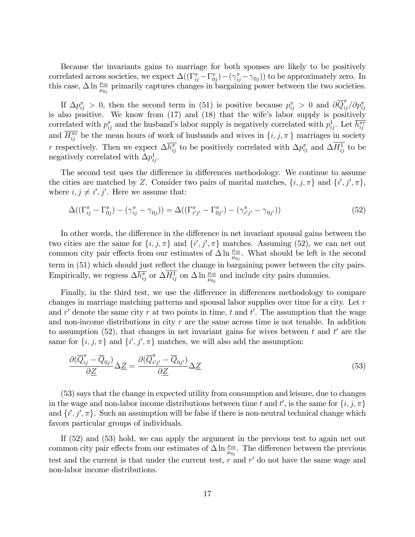Because the invariants gains to marriage for both spouses are likely to be positively correlated across societies, we expect  $\Delta((\Gamma^{\pi}_{ij} - \Gamma^{\pi}_{0j}) - (\gamma^{\pi}_{ij} - \gamma_{0j}))$  to be approximately zero. In this case,  $\Delta \ln \frac{\mu_{i0}}{\mu_{0j}}$  primarily captures changes in bargaining power between the two societies.

If  $\Delta p_{ij}^{\pi} > 0$ , then the second term in (51) is positive because  $p_{ij}^{\pi} > 0$  and  $\partial \overline{Q}_{ij}^{\pi}/ \partial p_{ij}^{\pi}$ is also positive. We know from  $(17)$  and  $(18)$  that the wife's labor supply is positively correlated with  $p_{ij}^{\pi}$  and the husband's labor supply is negatively correlated with  $p_{ij}^1$ . Let  $\overline{h_{ij}^{\pi\tau}}$ and  $\overline{H_{ij}^{\pi r}}$  be the mean hours of work of husbands and wives in  $\{i, j, \pi\}$  marriages in society r respectively. Then we expect  $\Delta \overline{h_{ij}^{\pi}}$  to be positively correlated with  $\Delta p_{ij}^{\pi}$  and  $\Delta H_{ij}^{1}$  to be negatively correlated with  $\Delta p_{ij}^1$ .

The second test uses the difference in differences methodology. We continue to assume the cities are matched by Z. Consider two pairs of marital matches,  $\{i, j, \pi\}$  and  $\{i', j', \pi\}$ , where  $i, j \neq i', j'$ . Here we assume that:

$$
\Delta((\Gamma^{\pi}_{ij} - \Gamma^{\pi}_{0j}) - (\gamma^{\pi}_{ij} - \gamma_{0j})) = \Delta((\Gamma^{\pi}_{i'j'} - \Gamma^{\pi}_{0j'}) - (\gamma^{\pi}_{i'j'} - \gamma_{0j'}))
$$
\n(52)

In other words, the difference in the difference in net invariant spousal gains between the two cities are the same for  $\{i, j, \pi\}$  and  $\{i', j', \pi\}$  matches. Assuming (52), we can net out common city pair effects from our estimates of  $\Delta \ln \frac{\mu_{i0}}{\mu_{0j}}$ . What should be left is the second term in (51) which should just reflect the change in bargaining power between the city pairs. Empirically, we regress  $\Delta \overline{h_{ij}^{\pi}}$  or  $\Delta \overline{H_{ij}^1}$  on  $\Delta \ln \frac{\mu_{i0}}{\mu_{0j}}$  and include city pairs dummies.

Finally, in the third test, we use the difference in differences methodology to compare changes in marriage matching patterns and spousal labor supplies over time for a city. Let r and  $r'$  denote the same city r at two points in time, t and t'. The assumption that the wage and non-income distributions in city  $r$  are the same across time is not tenable. In addition to assumption (52), that changes in net invariant gains for wives between  $t$  and  $t'$  are the same for  $\{i, j, \pi\}$  and  $\{i', j', \pi\}$  matches, we will also add the assumption:

$$
\frac{\partial(\overline{Q}_{ij}^{\pi} - \overline{Q}_{0j})}{\partial \underline{Z}} \Delta \underline{Z} = \frac{\partial(\overline{Q}_{i'j'}^{\pi} - \overline{Q}_{0j'})}{\partial \underline{Z}} \Delta \underline{Z}
$$
\n(53)

(53) says that the change in expected utility from consumption and leisure, due to changes in the wage and non-labor income distributions between time t and t', is the same for  $\{i, j, \pi\}$ and  $\{i', j', \pi\}$ . Such an assumption will be false if there is non-neutral technical change which favors particular groups of individuals.

If (52) and (53) hold, we can apply the argument in the previous test to again net out common city pair effects from our estimates of  $\Delta \ln \frac{\mu_{i0}}{\mu_{0j}}$ . The difference between the previous test and the current is that under the current test,  $r$  and  $r'$  do not have the same wage and non-labor income distributions.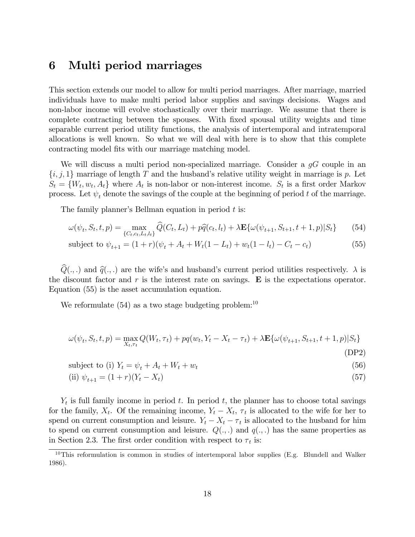### 6 Multi period marriages

This section extends our model to allow for multi period marriages. After marriage, married individuals have to make multi period labor supplies and savings decisions. Wages and non-labor income will evolve stochastically over their marriage. We assume that there is complete contracting between the spouses. With Öxed spousal utility weights and time separable current period utility functions, the analysis of intertemporal and intratemporal allocations is well known. So what we will deal with here is to show that this complete contracting model fits with our marriage matching model.

We will discuss a multi period non-specialized marriage. Consider a  $qG$  couple in an  $\{i, j, 1\}$  marriage of length T and the husband's relative utility weight in marriage is p. Let  $S_t = \{W_t, w_t, A_t\}$  where  $A_t$  is non-labor or non-interest income.  $S_t$  is a first order Markov process. Let  $\psi_t$  denote the savings of the couple at the beginning of period t of the marriage.

The family planner's Bellman equation in period  $t$  is:

$$
\omega(\psi_t, S_t, t, p) = \max_{\{C_t, c_t, L_t, l_t\}} \widehat{Q}(C_t, L_t) + p\widehat{q}(c_t, l_t) + \lambda \mathbf{E}\{\omega(\psi_{t+1}, S_{t+1}, t+1, p)|S_t\} \tag{54}
$$

subject to 
$$
\psi_{t+1} = (1+r)(\psi_t + A_t + W_t(1-L_t) + w_t(1-l_t) - C_t - c_t)
$$
 (55)

 $Q(.,.)$  and  $\hat{q}(.,.)$  are the wife's and husband's current period utilities respectively.  $\lambda$  is the discount factor and  $r$  is the interest rate on savings.  $E$  is the expectations operator. Equation (55) is the asset accumulation equation.

We reformulate  $(54)$  as a two stage budgeting problem:<sup>10</sup>

$$
\omega(\psi_t, S_t, t, p) = \max_{X_t, \tau_t} Q(W_t, \tau_t) + pq(w_t, Y_t - X_t - \tau_t) + \lambda \mathbf{E}\{\omega(\psi_{t+1}, S_{t+1}, t+1, p)|S_t\}
$$
\n(DP2)

$$
subject to (i) Yt = \psit + At + Wt + wt
$$
\n(56)

(ii) 
$$
\psi_{t+1} = (1+r)(Y_t - X_t)
$$
 (57)

 $Y_t$  is full family income in period t. In period t, the planner has to choose total savings for the family,  $X_t$ . Of the remaining income,  $Y_t - X_t$ ,  $\tau_t$  is allocated to the wife for her to spend on current consumption and leisure.  $Y_t - X_t - \tau_t$  is allocated to the husband for him to spend on current consumption and leisure.  $Q(.,.)$  and  $q(.,.)$  has the same properties as in Section 2.3. The first order condition with respect to  $\tau_t$  is:

 $10$ This reformulation is common in studies of intertemporal labor supplies (E.g. Blundell and Walker 1986).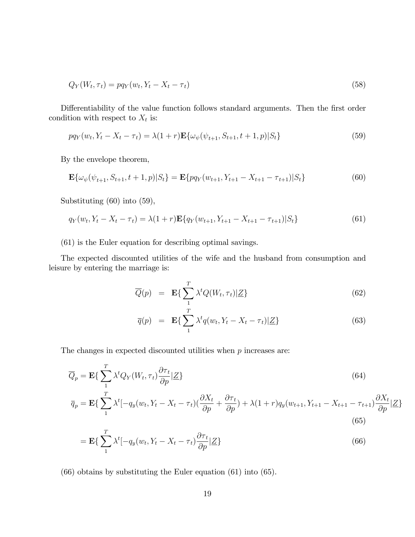$$
Q_Y(W_t, \tau_t) = pq_Y(w_t, Y_t - X_t - \tau_t)
$$
\n
$$
(58)
$$

Differentiability of the value function follows standard arguments. Then the first order condition with respect to  $X_t$  is:

$$
pq_Y(w_t, Y_t - X_t - \tau_t) = \lambda (1+r) \mathbf{E} \{ \omega_{\psi}(\psi_{t+1}, S_{t+1}, t+1, p) | S_t \}
$$
\n(59)

By the envelope theorem,

$$
\mathbf{E}\{\omega_{\psi}(\psi_{t+1}, S_{t+1}, t+1, p)|S_t\} = \mathbf{E}\{pq_Y(w_{t+1}, Y_{t+1} - X_{t+1} - \tau_{t+1})|S_t\}
$$
(60)

Substituting (60) into (59),

$$
q_Y(w_t, Y_t - X_t - \tau_t) = \lambda (1+r) \mathbf{E} \{ q_Y(w_{t+1}, Y_{t+1} - X_{t+1} - \tau_{t+1}) | S_t \}
$$
(61)

(61) is the Euler equation for describing optimal savings.

The expected discounted utilities of the wife and the husband from consumption and leisure by entering the marriage is:

$$
\overline{Q}(p) = \mathbf{E}\left\{\sum_{1}^{T} \lambda^t Q(W_t, \tau_t) | \underline{Z}\right\} \tag{62}
$$

$$
\overline{q}(p) = \mathbf{E}\left\{\sum_{1}^{T} \lambda^t q(w_t, Y_t - X_t - \tau_t) | \underline{Z}\right\}
$$
\n(63)

The changes in expected discounted utilities when  $p$  increases are:

$$
\overline{Q}_p = \mathbf{E}\left\{\sum_{1}^{T} \lambda^t Q_Y(W_t, \tau_t) \frac{\partial \tau_t}{\partial p} | \underline{Z}\right\}
$$
\n(64)

$$
\overline{q}_p = \mathbf{E}\left\{\sum_{1}^{T} \lambda^t [-q_y(w_t, Y_t - X_t - \tau_t)(\frac{\partial X_t}{\partial p} + \frac{\partial \tau_t}{\partial p}) + \lambda(1+r)q_y(w_{t+1}, Y_{t+1} - X_{t+1} - \tau_{t+1})\frac{\partial X_t}{\partial p} |Z\right\}
$$
\n(65)

$$
= \mathbf{E}\left\{\sum_{1}^{T} \lambda^{t} \left[-q_y(w_t, Y_t - X_t - \tau_t)\frac{\partial \tau_t}{\partial p} | \underline{Z}\right]\right\}
$$
\n(66)

(66) obtains by substituting the Euler equation (61) into (65).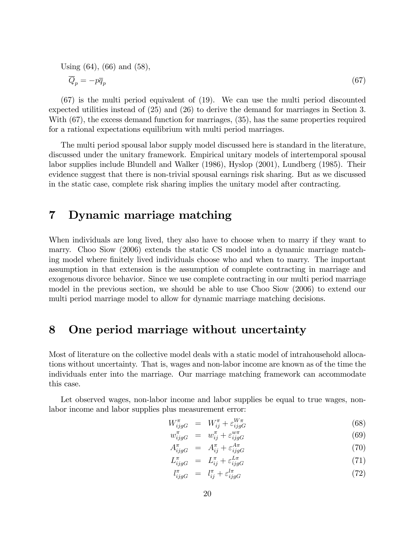Using (64), (66) and (58),  
\n
$$
\overline{Q}_p = -p\overline{q}_p
$$
\n(67)

(67) is the multi period equivalent of (19). We can use the multi period discounted expected utilities instead of (25) and (26) to derive the demand for marriages in Section 3. With (67), the excess demand function for marriages, (35), has the same properties required for a rational expectations equilibrium with multi period marriages.

The multi period spousal labor supply model discussed here is standard in the literature, discussed under the unitary framework. Empirical unitary models of intertemporal spousal labor supplies include Blundell and Walker (1986), Hyslop (2001), Lundberg (1985). Their evidence suggest that there is non-trivial spousal earnings risk sharing. But as we discussed in the static case, complete risk sharing implies the unitary model after contracting.

#### 7 Dynamic marriage matching

When individuals are long lived, they also have to choose when to marry if they want to marry. Choo Siow (2006) extends the static CS model into a dynamic marriage matching model where Önitely lived individuals choose who and when to marry. The important assumption in that extension is the assumption of complete contracting in marriage and exogenous divorce behavior. Since we use complete contracting in our multi period marriage model in the previous section, we should be able to use Choo Siow (2006) to extend our multi period marriage model to allow for dynamic marriage matching decisions.

### 8 One period marriage without uncertainty

Most of literature on the collective model deals with a static model of intrahousehold allocations without uncertainty. That is, wages and non-labor income are known as of the time the individuals enter into the marriage. Our marriage matching framework can accommodate this case.

Let observed wages, non-labor income and labor supplies be equal to true wages, nonlabor income and labor supplies plus measurement error:

$$
W_{ijgG}^{\pi} = W_{ij}^{\pi} + \varepsilon_{ijgG}^{W\pi} \tag{68}
$$

$$
w_{ijgG}^{\pi} = w_{ij}^{\pi} + \varepsilon_{ijgG}^{w\pi} \tag{69}
$$

$$
A_{ijgG}^{\pi} = A_{ij}^{\pi} + \varepsilon_{ijgG}^{A\pi} \tag{70}
$$

$$
L_{ijgG}^{\pi} = L_{ij}^{\pi} + \varepsilon_{ijgG}^{L\pi} \tag{71}
$$

$$
l_{ijgG}^{\pi} = l_{ij}^{\pi} + \varepsilon_{ijgG}^{l\pi} \tag{72}
$$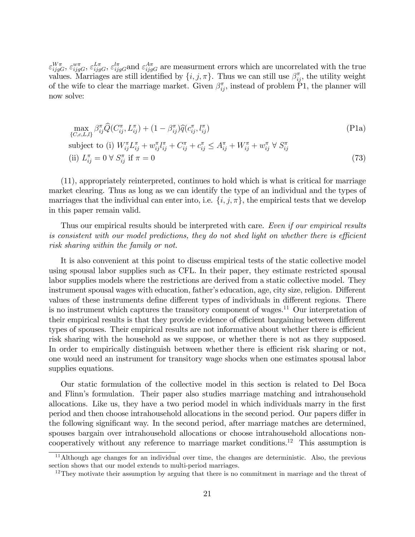$\varepsilon_{ijgG}^{W\pi}, \varepsilon_{ijgG}^{u\pi}, \varepsilon_{ijgG}^{l\pi}, \varepsilon_{ijgG}^{l\pi}$  are measurment errors which are uncorrelated with the true values. Marriages are still identified by  $\{i, j, \pi\}$ . Thus we can still use  $\beta_{ij}^{\pi}$ , the utility weight of the wife to clear the marriage market. Given  $\beta_{ij}^{\pi}$ , instead of problem P1, the planner will now solve:

$$
\max_{\{C,c,L,l\}} \beta_{ij}^{\pi} \widehat{Q}(C_{ij}^{\pi}, L_{ij}^{\pi}) + (1 - \beta_{ij}^{\pi}) \widehat{q}(c_{ij}^{\pi}, l_{ij}^{\pi})
$$
\n(P1a)

\nsubject to (i) 
$$
W_{ij}^{\pi} L_{ij}^{\pi} + w_{ij}^{\pi} l_{ij}^{\pi} + C_{ij}^{\pi} + c_{ij}^{\pi} \leq A_{ij}^{\pi} + W_{ij}^{\pi} + w_{ij}^{\pi} \forall S_{ij}^{\pi}
$$

\n(ii) 
$$
L_{ij}^{\pi} = 0 \forall S_{ij}^{\pi}
$$
 if  $\pi = 0$ 

\n(73)

(11), appropriately reinterpreted, continues to hold which is what is critical for marriage market clearing. Thus as long as we can identify the type of an individual and the types of marriages that the individual can enter into, i.e.  $\{i, j, \pi\}$ , the empirical tests that we develop in this paper remain valid.

Thus our empirical results should be interpreted with care. Even if our empirical results is consistent with our model predictions, they do not shed light on whether there is efficient risk sharing within the family or not.

It is also convenient at this point to discuss empirical tests of the static collective model using spousal labor supplies such as CFL. In their paper, they estimate restricted spousal labor supplies models where the restrictions are derived from a static collective model. They instrument spousal wages with education, father's education, age, city size, religion. Different values of these instruments define different types of individuals in different regions. There is no instrument which captures the transitory component of wages.<sup>11</sup> Our interpretation of their empirical results is that they provide evidence of efficient bargaining between different types of spouses. Their empirical results are not informative about whether there is efficient risk sharing with the household as we suppose, or whether there is not as they supposed. In order to empirically distinguish between whether there is efficient risk sharing or not, one would need an instrument for transitory wage shocks when one estimates spousal labor supplies equations.

Our static formulation of the collective model in this section is related to Del Boca and Flinn's formulation. Their paper also studies marriage matching and intrahousehold allocations. Like us, they have a two period model in which individuals marry in the first period and then choose intrahousehold allocations in the second period. Our papers differ in the following significant way. In the second period, after marriage matches are determined, spouses bargain over intrahousehold allocations or choose intrahousehold allocations noncooperatively without any reference to marriage market conditions.<sup>12</sup> This assumption is

<sup>11</sup>Although age changes for an individual over time, the changes are deterministic. Also, the previous section shows that our model extends to multi-period marriages.

 $12$ They motivate their assumption by arguing that there is no commitment in marriage and the threat of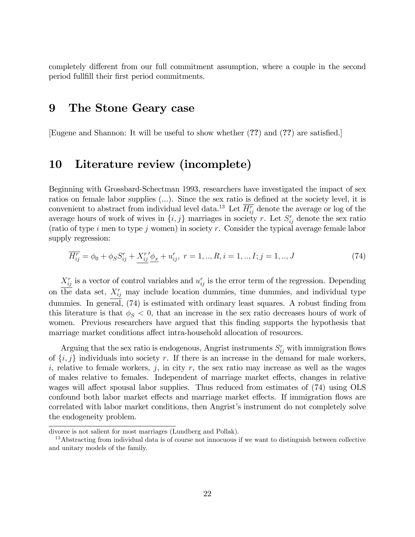completely different from our full commitment assumption, where a couple in the second period fullfill their first period commitments.

#### 9 The Stone Geary case

[Eugene and Shannon: It will be useful to show whether  $(??)$  and  $(??)$  are satisfied.]

### 10 Literature review (incomplete)

Beginning with Grossbard-Schectman 1993, researchers have investigated the impact of sex ratios on female labor supplies  $(...)$ . Since the sex ratio is defined at the society level, it is convenient to abstract from individual level data.<sup>13</sup> Let  $\overline{H_{ij}^r}$  denote the average or log of the average hours of work of wives in  $\{i, j\}$  marriages in society r. Let  $S_{ij}^r$  denote the sex ratio (ratio of type i men to type j women) in society r. Consider the typical average female labor supply regression:

$$
\overline{H_{ij}^r} = \phi_0 + \phi_S S_{ij}^r + \underline{X_{ij}^r \phi_x} + u_{ij}^r, \ r = 1, ..., R, i = 1, ..., I; j = 1, ..., J
$$
\n(74)

 $X_{ij}^r$  is a vector of control variables and  $u_{ij}^r$  is the error term of the regression. Depending on the data set,  $X_{ij}^r$  may include location dummies, time dummies, and individual type dummies. In general,  $(74)$  is estimated with ordinary least squares. A robust finding from this literature is that  $\phi_{\mathcal{S}} < 0$ , that an increase in the sex ratio decreases hours of work of women. Previous researchers have argued that this Önding supports the hypothesis that marriage market conditions affect intra-household allocation of resources.

Arguing that the sex ratio is endogenous, Angrist instruments  $S_{ij}^r$  with immigration flows of  $\{i, j\}$  individuals into society r. If there is an increase in the demand for male workers, i, relative to female workers, j, in city r, the sex ratio may increase as well as the wages of males relative to females. Independent of marriage market effects, changes in relative wages will affect spousal labor supplies. Thus reduced from estimates of  $(74)$  using OLS confound both labor market effects and marriage market effects. If immigration flows are correlated with labor market conditions, then Angrist's instrument do not completely solve the endogeneity problem.

divorce is not salient for most marriages (Lundberg and Pollak).

<sup>&</sup>lt;sup>13</sup>Abstracting from individual data is of course not innocuous if we want to distinguish between collective and unitary models of the family.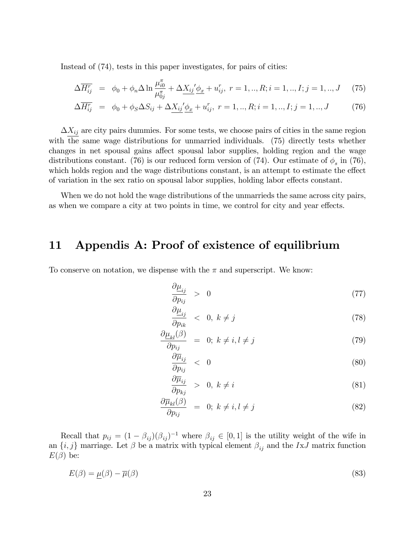Instead of (74), tests in this paper investigates, for pairs of cities:

$$
\Delta \overline{H_{ij}^r} = \phi_0 + \phi_n \Delta \ln \frac{\mu_{i0}^\pi}{\mu_{0j}^\pi} + \Delta \underline{X_{ij}}' \underline{\phi_x} + u_{ij}^r, \ r = 1, ..., R; i = 1, ..., I; j = 1, ..., J \tag{75}
$$

$$
\Delta \overline{H_{ij}^r} = \phi_0 + \phi_S \Delta S_{ij} + \Delta \underline{X_{ij}}' \underline{\phi_x} + u_{ij}^r, \ r = 1, ..., R; i = 1, ..., I; j = 1, ..., J \tag{76}
$$

 $\Delta X_{ij}$  are city pairs dummies. For some tests, we choose pairs of cities in the same region with the same wage distributions for unmarried individuals. (75) directly tests whether changes in net spousal gains affect spousal labor supplies, holding region and the wage distributions constant. (76) is our reduced form version of (74). Our estimate of  $\phi_s$  in (76), which holds region and the wage distributions constant, is an attempt to estimate the effect of variation in the sex ratio on spousal labor supplies, holding labor effects constant.

When we do not hold the wage distributions of the unmarrieds the same across city pairs, as when we compare a city at two points in time, we control for city and year effects.

### 11 Appendis A: Proof of existence of equilibrium

To conserve on notation, we dispense with the  $\pi$  and superscript. We know:

$$
\frac{\partial \underline{\mu}_{ij}}{\partial p_{ij}} > 0 \tag{77}
$$

$$
\frac{\partial \underline{\mu}_{ij}}{\partial p_{ik}} < 0, \ k \neq j \tag{78}
$$

$$
\frac{\partial \underline{\mu}_{kl}(\beta)}{\partial p_{ij}} = 0; \ k \neq i, l \neq j \tag{79}
$$

$$
\frac{\partial \overline{\mu}_{ij}}{\partial p_{ij}} \quad < \quad 0 \tag{80}
$$

$$
\frac{\partial \overline{\mu}_{ij}}{\partial p_{kj}} > 0, \ k \neq i \tag{81}
$$

$$
\frac{\partial \overline{\mu}_{kl}(\beta)}{\partial p_{ij}} = 0; \ k \neq i, l \neq j \tag{82}
$$

Recall that  $p_{ij} = (1 - \beta_{ij}) (\beta_{ij})^{-1}$  where  $\beta_{ij} \in [0, 1]$  is the utility weight of the wife in an  $\{i, j\}$  marriage. Let  $\beta$  be a matrix with typical element  $\beta_{ij}$  and the IxJ matrix function  $E(\beta)$  be:

$$
E(\beta) = \underline{\mu}(\beta) - \overline{\mu}(\beta) \tag{83}
$$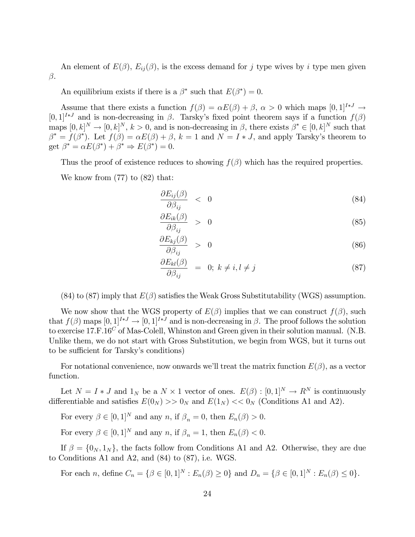An element of  $E(\beta)$ ,  $E_{ij}(\beta)$ , is the excess demand for j type wives by i type men given  $\beta$ .

An equilibrium exists if there is a  $\beta^*$  such that  $E(\beta^*) = 0$ .

Assume that there exists a function  $f(\beta) = \alpha E(\beta) + \beta$ ,  $\alpha > 0$  which maps  $[0,1]^{I*J} \rightarrow$  $[0,1]^{I*J}$  and is non-decreasing in  $\beta$ . Tarsky's fixed point theorem says if a function  $f(\beta)$ maps  $[0, k]^N \to [0, k]^N$ ,  $k > 0$ , and is non-decreasing in  $\beta$ , there exists  $\beta^* \in [0, k]^N$  such that  $\beta^* = f(\beta^*)$ . Let  $f(\beta) = \alpha E(\beta) + \beta$ ,  $k = 1$  and  $N = I * J$ , and apply Tarsky's theorem to get  $\beta^* = \alpha E(\beta^*) + \beta^* \Rightarrow E(\beta^*) = 0.$ 

Thus the proof of existence reduces to showing  $f(\beta)$  which has the required properties.

We know from (77) to (82) that:

$$
\frac{\partial E_{ij}(\beta)}{\partial \beta_{ij}} \quad < \quad 0 \tag{84}
$$

$$
\frac{\partial E_{ik}(\beta)}{\partial \beta_{ij}} > 0 \tag{85}
$$

$$
\frac{\partial E_{kj}(\beta)}{\partial \beta_{ij}} > 0 \tag{86}
$$

$$
\frac{\partial E_{kl}(\beta)}{\partial \beta_{ij}} = 0; \ k \neq i, l \neq j \tag{87}
$$

 $(84)$  to  $(87)$  imply that  $E(\beta)$  satisfies the Weak Gross Substitutability (WGS) assumption.

We now show that the WGS property of  $E(\beta)$  implies that we can construct  $f(\beta)$ , such that  $f(\beta)$  maps  $[0,1]^{I*J} \to [0,1]^{I*J}$  and is non-decreasing in  $\beta$ . The proof follows the solution to exercise  $17.F.16<sup>C</sup>$  of Mas-Colell, Whinston and Green given in their solution manual. (N.B. Unlike them, we do not start with Gross Substitution, we begin from WGS, but it turns out to be sufficient for Tarsky's conditions)

For notational convenience, now onwards we'll treat the matrix function  $E(\beta)$ , as a vector function.

Let  $N = I * J$  and  $1_N$  be a  $N \times 1$  vector of ones.  $E(\beta) : [0,1]^N \to R^N$  is continuously differentiable and satisfies  $E(0_N) >> 0_N$  and  $E(1_N) << 0_N$  (Conditions A1 and A2).

For every  $\beta \in [0,1]^N$  and any n, if  $\beta_n = 0$ , then  $E_n(\beta) > 0$ .

For every  $\beta \in [0,1]^N$  and any n, if  $\beta_n = 1$ , then  $E_n(\beta) < 0$ .

If  $\beta = \{0_N, 1_N\}$ , the facts follow from Conditions A1 and A2. Otherwise, they are due to Conditions A1 and A2, and (84) to (87), i.e. WGS.

For each *n*, define  $C_n = \{ \beta \in [0,1]^N : E_n(\beta) \ge 0 \}$  and  $D_n = \{ \beta \in [0,1]^N : E_n(\beta) \le 0 \}.$